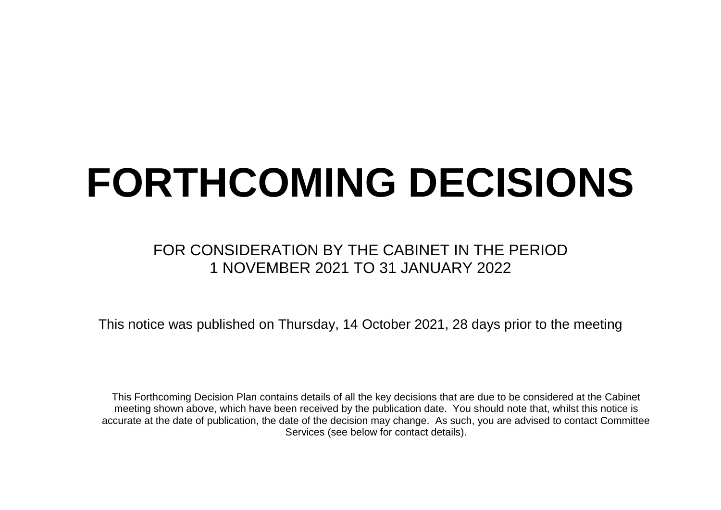## **FORTHCOMING DECISIONS**

## FOR CONSIDERATION BY THE CABINET IN THE PERIOD 1 NOVEMBER 2021 TO 31 JANUARY 2022

This notice was published on Thursday, 14 October 2021, 28 days prior to the meeting

This Forthcoming Decision Plan contains details of all the key decisions that are due to be considered at the Cabinet meeting shown above, which have been received by the publication date. You should note that, whilst this notice is accurate at the date of publication, the date of the decision may change. As such, you are advised to contact Committee Services (see below for contact details).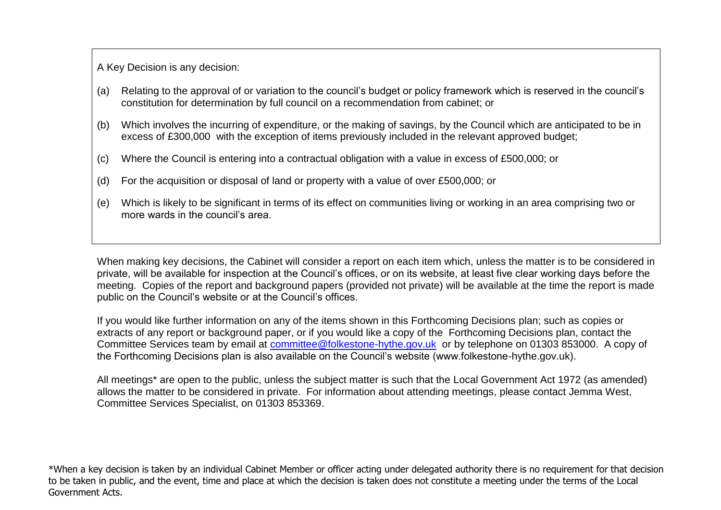A Key Decision is any decision:

- (a) Relating to the approval of or variation to the council's budget or policy framework which is reserved in the council's constitution for determination by full council on a recommendation from cabinet; or
- (b) Which involves the incurring of expenditure, or the making of savings, by the Council which are anticipated to be in excess of £300,000 with the exception of items previously included in the relevant approved budget;
- (c) Where the Council is entering into a contractual obligation with a value in excess of £500,000; or
- (d) For the acquisition or disposal of land or property with a value of over £500,000; or
- (e) Which is likely to be significant in terms of its effect on communities living or working in an area comprising two or more wards in the council's area.

When making key decisions, the Cabinet will consider a report on each item which, unless the matter is to be considered in private, will be available for inspection at the Council's offices, or on its website, at least five clear working days before the meeting. Copies of the report and background papers (provided not private) will be available at the time the report is made public on the Council's website or at the Council's offices.

If you would like further information on any of the items shown in this Forthcoming Decisions plan; such as copies or extracts of any report or background paper, or if you would like a copy of the Forthcoming Decisions plan, contact the Committee Services team by email at [committee@folkestone-hythe.gov.uk](mailto:committee@folkestone-hythe.gov.uk) or by telephone on 01303 853000. A copy of the Forthcoming Decisions plan is also available on the Council's website (www.folkestone-hythe.gov.uk).

All meetings<sup>\*</sup> are open to the public, unless the subject matter is such that the Local Government Act 1972 (as amended) allows the matter to be considered in private. For information about attending meetings, please contact Jemma West, Committee Services Specialist, on 01303 853369.

\*When a key decision is taken by an individual Cabinet Member or officer acting under delegated authority there is no requirement for that decision to be taken in public, and the event, time and place at which the decision is taken does not constitute a meeting under the terms of the Local Government Acts.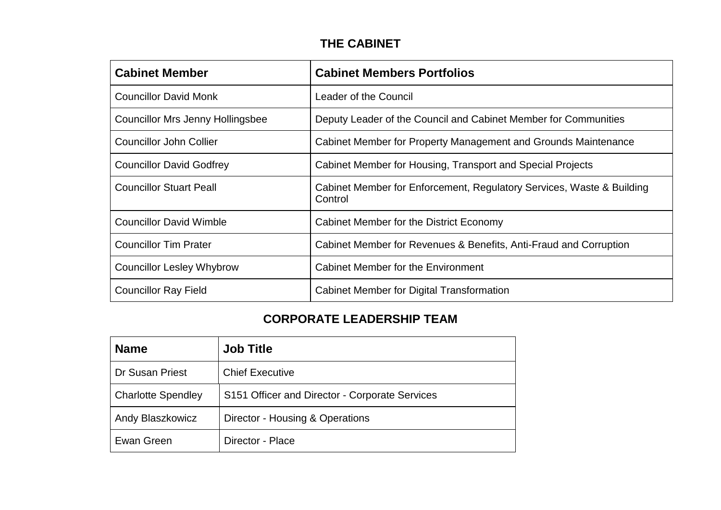## **THE CABINET**

| <b>Cabinet Member</b>                   | <b>Cabinet Members Portfolios</b>                                                |
|-----------------------------------------|----------------------------------------------------------------------------------|
| <b>Councillor David Monk</b>            | Leader of the Council                                                            |
| <b>Councillor Mrs Jenny Hollingsbee</b> | Deputy Leader of the Council and Cabinet Member for Communities                  |
| <b>Councillor John Collier</b>          | Cabinet Member for Property Management and Grounds Maintenance                   |
| <b>Councillor David Godfrey</b>         | Cabinet Member for Housing, Transport and Special Projects                       |
| <b>Councillor Stuart Peall</b>          | Cabinet Member for Enforcement, Regulatory Services, Waste & Building<br>Control |
| <b>Councillor David Wimble</b>          | Cabinet Member for the District Economy                                          |
| <b>Councillor Tim Prater</b>            | Cabinet Member for Revenues & Benefits, Anti-Fraud and Corruption                |
| <b>Councillor Lesley Whybrow</b>        | Cabinet Member for the Environment                                               |
| <b>Councillor Ray Field</b>             | <b>Cabinet Member for Digital Transformation</b>                                 |

## **CORPORATE LEADERSHIP TEAM**

| <b>Name</b>               | <b>Job Title</b>                               |
|---------------------------|------------------------------------------------|
| Dr Susan Priest           | <b>Chief Executive</b>                         |
| <b>Charlotte Spendley</b> | S151 Officer and Director - Corporate Services |
| Andy Blaszkowicz          | Director - Housing & Operations                |
| Ewan Green                | Director - Place                               |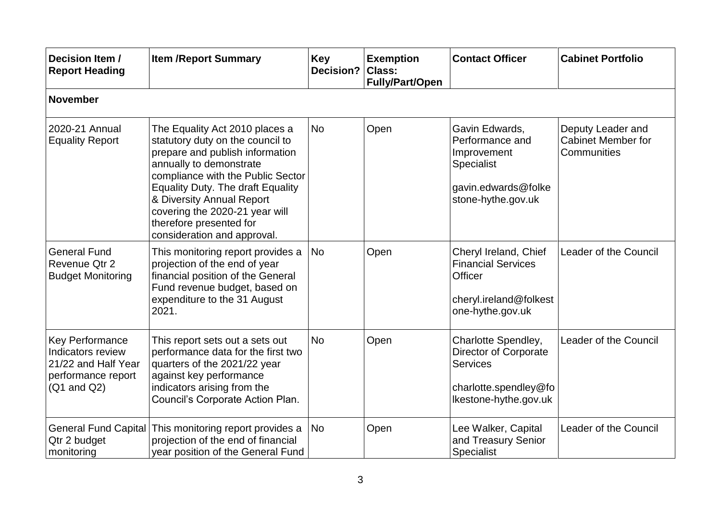| Decision Item /<br><b>Report Heading</b>                                                             | <b>Item /Report Summary</b>                                                                                                                                                                                                                                                                                                                | <b>Key</b><br>Decision? Class: | <b>Exemption</b><br><b>Fully/Part/Open</b> | <b>Contact Officer</b>                                                                                             | <b>Cabinet Portfolio</b>                                      |  |  |  |  |
|------------------------------------------------------------------------------------------------------|--------------------------------------------------------------------------------------------------------------------------------------------------------------------------------------------------------------------------------------------------------------------------------------------------------------------------------------------|--------------------------------|--------------------------------------------|--------------------------------------------------------------------------------------------------------------------|---------------------------------------------------------------|--|--|--|--|
| <b>November</b>                                                                                      |                                                                                                                                                                                                                                                                                                                                            |                                |                                            |                                                                                                                    |                                                               |  |  |  |  |
| 2020-21 Annual<br><b>Equality Report</b>                                                             | The Equality Act 2010 places a<br>statutory duty on the council to<br>prepare and publish information<br>annually to demonstrate<br>compliance with the Public Sector<br><b>Equality Duty. The draft Equality</b><br>& Diversity Annual Report<br>covering the 2020-21 year will<br>therefore presented for<br>consideration and approval. | <b>No</b>                      | Open                                       | Gavin Edwards,<br>Performance and<br>Improvement<br><b>Specialist</b><br>gavin.edwards@folke<br>stone-hythe.gov.uk | Deputy Leader and<br><b>Cabinet Member for</b><br>Communities |  |  |  |  |
| <b>General Fund</b><br>Revenue Qtr 2<br><b>Budget Monitoring</b>                                     | This monitoring report provides a<br>projection of the end of year<br>financial position of the General<br>Fund revenue budget, based on<br>expenditure to the 31 August<br>2021.                                                                                                                                                          | No                             | Open                                       | Cheryl Ireland, Chief<br><b>Financial Services</b><br>Officer<br>cheryl.ireland@folkest<br>one-hythe.gov.uk        | Leader of the Council                                         |  |  |  |  |
| Key Performance<br>Indicators review<br>21/22 and Half Year<br>performance report<br>$(Q1$ and $Q2)$ | This report sets out a sets out<br>performance data for the first two<br>quarters of the 2021/22 year<br>against key performance<br>indicators arising from the<br>Council's Corporate Action Plan.                                                                                                                                        | <b>No</b>                      | Open                                       | Charlotte Spendley,<br>Director of Corporate<br><b>Services</b><br>charlotte.spendley@fo<br>Ikestone-hythe.gov.uk  | Leader of the Council                                         |  |  |  |  |
| General Fund Capital<br>Qtr 2 budget<br>monitoring                                                   | This monitoring report provides a<br>projection of the end of financial<br>year position of the General Fund                                                                                                                                                                                                                               | <b>No</b>                      | Open                                       | Lee Walker, Capital<br>and Treasury Senior<br>Specialist                                                           | Leader of the Council                                         |  |  |  |  |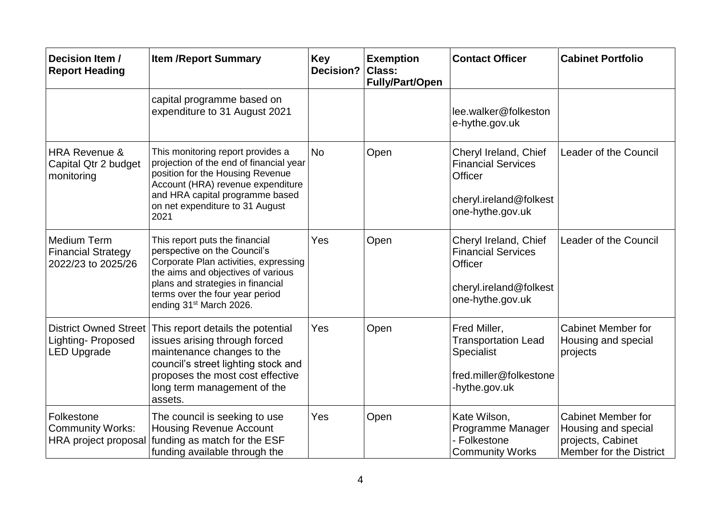| Decision Item /<br><b>Report Heading</b>                                       | <b>Item /Report Summary</b>                                                                                                                                                                                                                                  | <b>Key</b><br><b>Decision?</b> | <b>Exemption</b><br><b>Class:</b><br><b>Fully/Part/Open</b> | <b>Contact Officer</b>                                                                                             | <b>Cabinet Portfolio</b>                                                                         |
|--------------------------------------------------------------------------------|--------------------------------------------------------------------------------------------------------------------------------------------------------------------------------------------------------------------------------------------------------------|--------------------------------|-------------------------------------------------------------|--------------------------------------------------------------------------------------------------------------------|--------------------------------------------------------------------------------------------------|
|                                                                                | capital programme based on<br>expenditure to 31 August 2021                                                                                                                                                                                                  |                                |                                                             | lee.walker@folkeston<br>e-hythe.gov.uk                                                                             |                                                                                                  |
| <b>HRA Revenue &amp;</b><br>Capital Qtr 2 budget<br>monitoring                 | This monitoring report provides a<br>projection of the end of financial year<br>position for the Housing Revenue<br>Account (HRA) revenue expenditure<br>and HRA capital programme based<br>on net expenditure to 31 August<br>2021                          | <b>No</b>                      | Open                                                        | Cheryl Ireland, Chief<br><b>Financial Services</b><br>Officer<br>cheryl.ireland@folkest<br>one-hythe.gov.uk        | <b>Leader of the Council</b>                                                                     |
| <b>Medium Term</b><br><b>Financial Strategy</b><br>2022/23 to 2025/26          | This report puts the financial<br>perspective on the Council's<br>Corporate Plan activities, expressing<br>the aims and objectives of various<br>plans and strategies in financial<br>terms over the four year period<br>ending 31 <sup>st</sup> March 2026. | Yes                            | Open                                                        | Cheryl Ireland, Chief<br><b>Financial Services</b><br><b>Officer</b><br>cheryl.ireland@folkest<br>one-hythe.gov.uk | Leader of the Council                                                                            |
| <b>District Owned Street</b><br><b>Lighting-Proposed</b><br><b>LED Upgrade</b> | This report details the potential<br>issues arising through forced<br>maintenance changes to the<br>council's street lighting stock and<br>proposes the most cost effective<br>long term management of the<br>assets.                                        | Yes                            | Open                                                        | Fred Miller,<br><b>Transportation Lead</b><br>Specialist<br>fred.miller@folkestone<br>-hythe.gov.uk                | <b>Cabinet Member for</b><br>Housing and special<br>projects                                     |
| Folkestone<br><b>Community Works:</b><br>HRA project proposal                  | The council is seeking to use<br><b>Housing Revenue Account</b><br>funding as match for the ESF<br>funding available through the                                                                                                                             | Yes                            | Open                                                        | Kate Wilson,<br>Programme Manager<br>- Folkestone<br><b>Community Works</b>                                        | <b>Cabinet Member for</b><br>Housing and special<br>projects, Cabinet<br>Member for the District |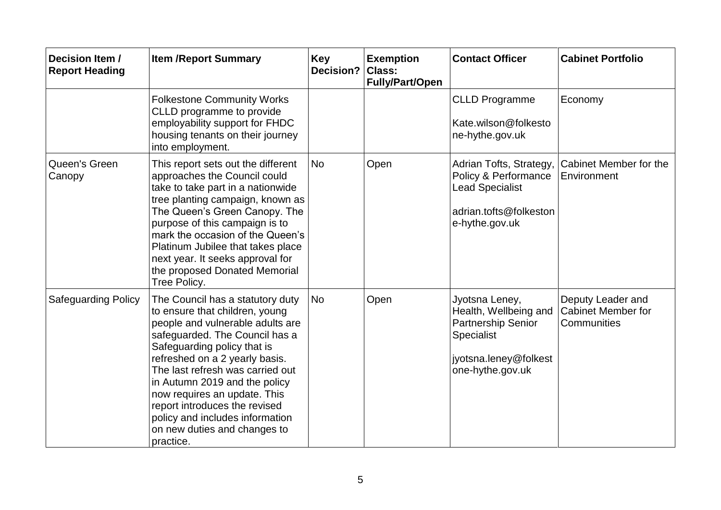| Decision Item /<br><b>Report Heading</b> | <b>Item /Report Summary</b>                                                                                                                                                                                                                                                                                                                                                                                                     | <b>Key</b><br><b>Decision?</b> | <b>Exemption</b><br>Class:<br><b>Fully/Part/Open</b> | <b>Contact Officer</b>                                                                                                                 | <b>Cabinet Portfolio</b>                                      |
|------------------------------------------|---------------------------------------------------------------------------------------------------------------------------------------------------------------------------------------------------------------------------------------------------------------------------------------------------------------------------------------------------------------------------------------------------------------------------------|--------------------------------|------------------------------------------------------|----------------------------------------------------------------------------------------------------------------------------------------|---------------------------------------------------------------|
|                                          | <b>Folkestone Community Works</b><br>CLLD programme to provide<br>employability support for FHDC<br>housing tenants on their journey<br>into employment.                                                                                                                                                                                                                                                                        |                                |                                                      | <b>CLLD Programme</b><br>Kate.wilson@folkesto<br>ne-hythe.gov.uk                                                                       | Economy                                                       |
| Queen's Green<br>Canopy                  | This report sets out the different<br>approaches the Council could<br>take to take part in a nationwide<br>tree planting campaign, known as<br>The Queen's Green Canopy. The<br>purpose of this campaign is to<br>mark the occasion of the Queen's<br>Platinum Jubilee that takes place<br>next year. It seeks approval for<br>the proposed Donated Memorial<br>Tree Policy.                                                    | <b>No</b>                      | Open                                                 | Adrian Tofts, Strategy,<br>Policy & Performance<br><b>Lead Specialist</b><br>adrian.tofts@folkeston<br>e-hythe.gov.uk                  | Cabinet Member for the<br>Environment                         |
| <b>Safeguarding Policy</b>               | The Council has a statutory duty<br>to ensure that children, young<br>people and vulnerable adults are<br>safeguarded. The Council has a<br>Safeguarding policy that is<br>refreshed on a 2 yearly basis.<br>The last refresh was carried out<br>in Autumn 2019 and the policy<br>now requires an update. This<br>report introduces the revised<br>policy and includes information<br>on new duties and changes to<br>practice. | <b>No</b>                      | Open                                                 | Jyotsna Leney,<br>Health, Wellbeing and<br><b>Partnership Senior</b><br><b>Specialist</b><br>jyotsna.leney@folkest<br>one-hythe.gov.uk | Deputy Leader and<br><b>Cabinet Member for</b><br>Communities |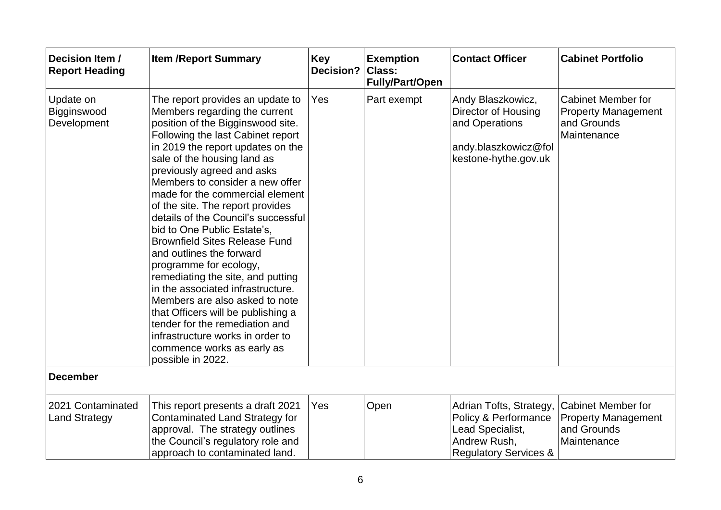| Decision Item /<br><b>Report Heading</b>  | <b>Item /Report Summary</b>                                                                                                                                                                                                                                                                                                                                                                                                                                                                                                                                                                                                                                                                                                                                                                            | <b>Key</b><br>Decision? | <b>Exemption</b><br>Class:<br><b>Fully/Part/Open</b> | <b>Contact Officer</b>                                                                                                  | <b>Cabinet Portfolio</b>                                                              |
|-------------------------------------------|--------------------------------------------------------------------------------------------------------------------------------------------------------------------------------------------------------------------------------------------------------------------------------------------------------------------------------------------------------------------------------------------------------------------------------------------------------------------------------------------------------------------------------------------------------------------------------------------------------------------------------------------------------------------------------------------------------------------------------------------------------------------------------------------------------|-------------------------|------------------------------------------------------|-------------------------------------------------------------------------------------------------------------------------|---------------------------------------------------------------------------------------|
| Update on<br>Bigginswood<br>Development   | The report provides an update to<br>Members regarding the current<br>position of the Bigginswood site.<br>Following the last Cabinet report<br>in 2019 the report updates on the<br>sale of the housing land as<br>previously agreed and asks<br>Members to consider a new offer<br>made for the commercial element<br>of the site. The report provides<br>details of the Council's successful<br>bid to One Public Estate's,<br><b>Brownfield Sites Release Fund</b><br>and outlines the forward<br>programme for ecology,<br>remediating the site, and putting<br>in the associated infrastructure.<br>Members are also asked to note<br>that Officers will be publishing a<br>tender for the remediation and<br>infrastructure works in order to<br>commence works as early as<br>possible in 2022. | Yes                     | Part exempt                                          | Andy Blaszkowicz,<br><b>Director of Housing</b><br>and Operations<br>andy.blaszkowicz@fol<br>kestone-hythe.gov.uk       | <b>Cabinet Member for</b><br><b>Property Management</b><br>and Grounds<br>Maintenance |
| <b>December</b>                           |                                                                                                                                                                                                                                                                                                                                                                                                                                                                                                                                                                                                                                                                                                                                                                                                        |                         |                                                      |                                                                                                                         |                                                                                       |
| 2021 Contaminated<br><b>Land Strategy</b> | This report presents a draft 2021<br>Contaminated Land Strategy for<br>approval. The strategy outlines<br>the Council's regulatory role and<br>approach to contaminated land.                                                                                                                                                                                                                                                                                                                                                                                                                                                                                                                                                                                                                          | Yes                     | Open                                                 | Adrian Tofts, Strategy,<br>Policy & Performance<br>Lead Specialist,<br>Andrew Rush,<br><b>Regulatory Services &amp;</b> | <b>Cabinet Member for</b><br><b>Property Management</b><br>and Grounds<br>Maintenance |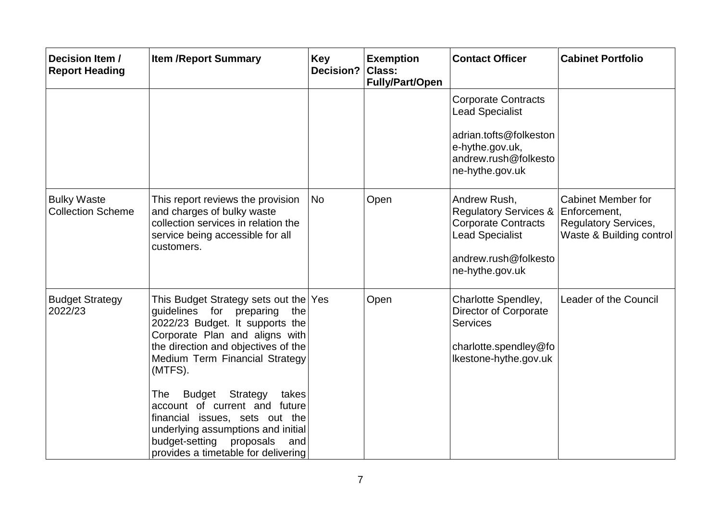| Decision Item /<br><b>Report Heading</b>       | <b>Item /Report Summary</b>                                                                                                                                                                                                                                                                                                                                                                                                                                          | <b>Key</b><br>Decision? | <b>Exemption</b><br>Class:<br><b>Fully/Part/Open</b> | <b>Contact Officer</b>                                                                                                                                | <b>Cabinet Portfolio</b>                                                             |
|------------------------------------------------|----------------------------------------------------------------------------------------------------------------------------------------------------------------------------------------------------------------------------------------------------------------------------------------------------------------------------------------------------------------------------------------------------------------------------------------------------------------------|-------------------------|------------------------------------------------------|-------------------------------------------------------------------------------------------------------------------------------------------------------|--------------------------------------------------------------------------------------|
|                                                |                                                                                                                                                                                                                                                                                                                                                                                                                                                                      |                         |                                                      | <b>Corporate Contracts</b><br><b>Lead Specialist</b><br>adrian.tofts@folkeston<br>e-hythe.gov.uk,<br>andrew.rush@folkesto<br>ne-hythe.gov.uk          |                                                                                      |
| <b>Bulky Waste</b><br><b>Collection Scheme</b> | This report reviews the provision<br>and charges of bulky waste<br>collection services in relation the<br>service being accessible for all<br>customers.                                                                                                                                                                                                                                                                                                             | <b>No</b>               | Open                                                 | Andrew Rush,<br>Regulatory Services & Enforcement,<br><b>Corporate Contracts</b><br><b>Lead Specialist</b><br>andrew.rush@folkesto<br>ne-hythe.gov.uk | <b>Cabinet Member for</b><br><b>Regulatory Services,</b><br>Waste & Building control |
| <b>Budget Strategy</b><br>2022/23              | This Budget Strategy sets out the Yes<br>quidelines for preparing<br>the<br>2022/23 Budget. It supports the<br>Corporate Plan and aligns with<br>the direction and objectives of the<br>Medium Term Financial Strategy<br>(MTFS).<br>Strategy<br><b>Budget</b><br>takes<br>The<br>account of current and future<br>financial issues, sets out the<br>underlying assumptions and initial<br>budget-setting<br>proposals<br>and<br>provides a timetable for delivering |                         | Open                                                 | Charlotte Spendley,<br>Director of Corporate<br><b>Services</b><br>charlotte.spendley@fo<br>Ikestone-hythe.gov.uk                                     | Leader of the Council                                                                |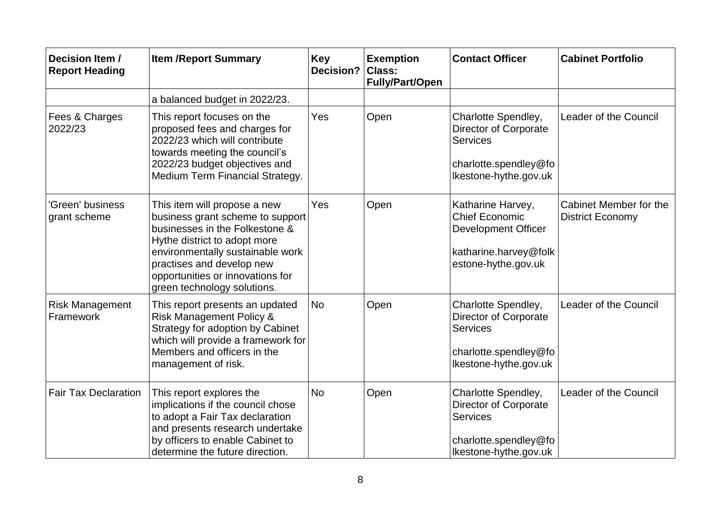| Decision Item /<br><b>Report Heading</b> | <b>Item /Report Summary</b>                                                                                                                                                                                                                                            | <b>Key</b><br><b>Decision?</b> | <b>Exemption</b><br><b>Class:</b><br><b>Fully/Part/Open</b> | <b>Contact Officer</b>                                                                                                   | <b>Cabinet Portfolio</b>                          |
|------------------------------------------|------------------------------------------------------------------------------------------------------------------------------------------------------------------------------------------------------------------------------------------------------------------------|--------------------------------|-------------------------------------------------------------|--------------------------------------------------------------------------------------------------------------------------|---------------------------------------------------|
|                                          | a balanced budget in 2022/23.                                                                                                                                                                                                                                          |                                |                                                             |                                                                                                                          |                                                   |
| Fees & Charges<br>2022/23                | This report focuses on the<br>proposed fees and charges for<br>2022/23 which will contribute<br>towards meeting the council's<br>2022/23 budget objectives and<br>Medium Term Financial Strategy.                                                                      | Yes                            | Open                                                        | Charlotte Spendley,<br>Director of Corporate<br><b>Services</b><br>charlotte.spendley@fo<br>Ikestone-hythe.gov.uk        | Leader of the Council                             |
| 'Green' business<br>grant scheme         | This item will propose a new<br>business grant scheme to support<br>businesses in the Folkestone &<br>Hythe district to adopt more<br>environmentally sustainable work<br>practises and develop new<br>opportunities or innovations for<br>green technology solutions. | Yes                            | Open                                                        | Katharine Harvey,<br><b>Chief Economic</b><br><b>Development Officer</b><br>katharine.harvey@folk<br>estone-hythe.gov.uk | Cabinet Member for the<br><b>District Economy</b> |
| <b>Risk Management</b><br>Framework      | This report presents an updated<br><b>Risk Management Policy &amp;</b><br>Strategy for adoption by Cabinet<br>which will provide a framework for<br>Members and officers in the<br>management of risk.                                                                 | No                             | Open                                                        | Charlotte Spendley,<br>Director of Corporate<br><b>Services</b><br>charlotte.spendley@fo<br>Ikestone-hythe.gov.uk        | Leader of the Council                             |
| <b>Fair Tax Declaration</b>              | This report explores the<br>implications if the council chose<br>to adopt a Fair Tax declaration<br>and presents research undertake<br>by officers to enable Cabinet to<br>determine the future direction.                                                             | <b>No</b>                      | Open                                                        | Charlotte Spendley,<br>Director of Corporate<br><b>Services</b><br>charlotte.spendley@fo<br>Ikestone-hythe.gov.uk        | Leader of the Council                             |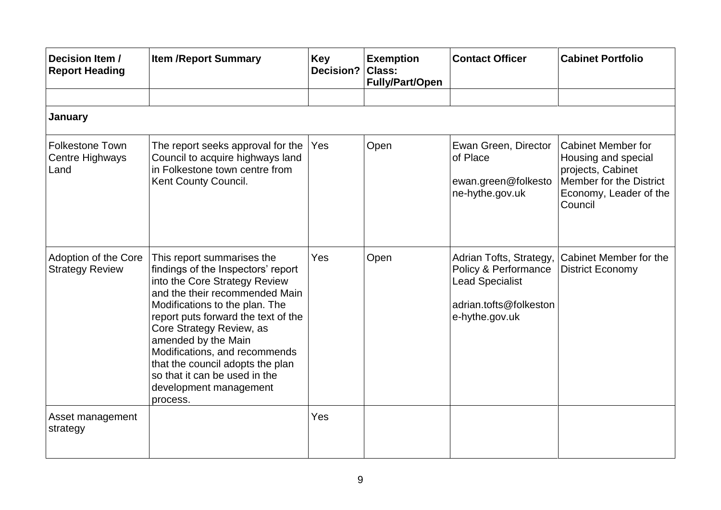| Decision Item /<br><b>Report Heading</b>          | <b>Item /Report Summary</b>                                                                                                                                                                                                                                                                                                                                                                                 | <b>Key</b><br><b>Decision?</b> | <b>Exemption</b><br>Class:<br><b>Fully/Part/Open</b> | <b>Contact Officer</b>                                                                                                | <b>Cabinet Portfolio</b>                                                                                                              |
|---------------------------------------------------|-------------------------------------------------------------------------------------------------------------------------------------------------------------------------------------------------------------------------------------------------------------------------------------------------------------------------------------------------------------------------------------------------------------|--------------------------------|------------------------------------------------------|-----------------------------------------------------------------------------------------------------------------------|---------------------------------------------------------------------------------------------------------------------------------------|
|                                                   |                                                                                                                                                                                                                                                                                                                                                                                                             |                                |                                                      |                                                                                                                       |                                                                                                                                       |
| January                                           |                                                                                                                                                                                                                                                                                                                                                                                                             |                                |                                                      |                                                                                                                       |                                                                                                                                       |
| <b>Folkestone Town</b><br>Centre Highways<br>Land | The report seeks approval for the<br>Council to acquire highways land<br>in Folkestone town centre from<br>Kent County Council.                                                                                                                                                                                                                                                                             | Yes                            | Open                                                 | Ewan Green, Director<br>of Place<br>ewan.green@folkesto<br>ne-hythe.gov.uk                                            | <b>Cabinet Member for</b><br>Housing and special<br>projects, Cabinet<br>Member for the District<br>Economy, Leader of the<br>Council |
| Adoption of the Core<br><b>Strategy Review</b>    | This report summarises the<br>findings of the Inspectors' report<br>into the Core Strategy Review<br>and the their recommended Main<br>Modifications to the plan. The<br>report puts forward the text of the<br>Core Strategy Review, as<br>amended by the Main<br>Modifications, and recommends<br>that the council adopts the plan<br>so that it can be used in the<br>development management<br>process. | Yes                            | Open                                                 | Adrian Tofts, Strategy,<br>Policy & Performance<br><b>Lead Specialist</b><br>adrian.tofts@folkeston<br>e-hythe.gov.uk | Cabinet Member for the<br><b>District Economy</b>                                                                                     |
| Asset management<br>strategy                      |                                                                                                                                                                                                                                                                                                                                                                                                             | Yes                            |                                                      |                                                                                                                       |                                                                                                                                       |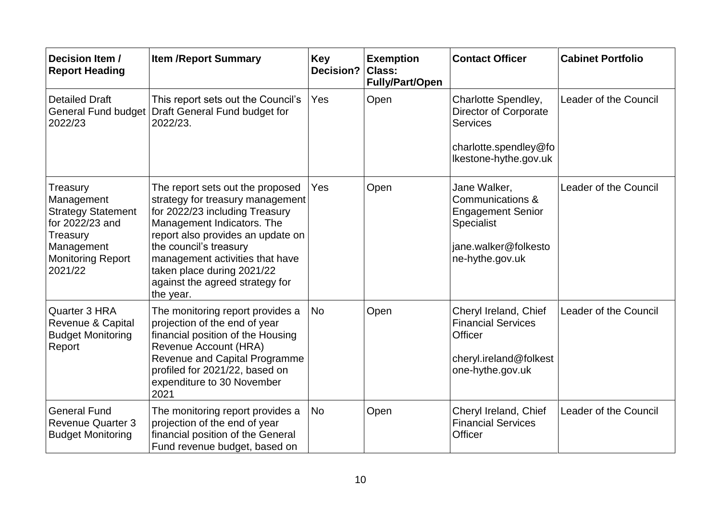| Decision Item /<br><b>Report Heading</b>                                                                                                | <b>Item /Report Summary</b>                                                                                                                                                                                                                                                                                          | <b>Key</b><br>Decision? | <b>Exemption</b><br><b>Class:</b><br><b>Fully/Part/Open</b> | <b>Contact Officer</b>                                                                                                | <b>Cabinet Portfolio</b> |
|-----------------------------------------------------------------------------------------------------------------------------------------|----------------------------------------------------------------------------------------------------------------------------------------------------------------------------------------------------------------------------------------------------------------------------------------------------------------------|-------------------------|-------------------------------------------------------------|-----------------------------------------------------------------------------------------------------------------------|--------------------------|
| <b>Detailed Draft</b><br><b>General Fund budget</b><br>2022/23                                                                          | This report sets out the Council's<br>Draft General Fund budget for<br>2022/23.                                                                                                                                                                                                                                      | Yes                     | Open                                                        | Charlotte Spendley,<br>Director of Corporate<br><b>Services</b><br>charlotte.spendley@fo<br>Ikestone-hythe.gov.uk     | Leader of the Council    |
| Treasury<br>Management<br><b>Strategy Statement</b><br>for 2022/23 and<br>Treasury<br>Management<br><b>Monitoring Report</b><br>2021/22 | The report sets out the proposed<br>strategy for treasury management<br>for 2022/23 including Treasury<br>Management Indicators. The<br>report also provides an update on<br>the council's treasury<br>management activities that have<br>taken place during 2021/22<br>against the agreed strategy for<br>the year. | Yes                     | Open                                                        | Jane Walker,<br>Communications &<br><b>Engagement Senior</b><br>Specialist<br>jane.walker@folkesto<br>ne-hythe.gov.uk | Leader of the Council    |
| Quarter 3 HRA<br>Revenue & Capital<br><b>Budget Monitoring</b><br>Report                                                                | The monitoring report provides a<br>projection of the end of year<br>financial position of the Housing<br>Revenue Account (HRA)<br>Revenue and Capital Programme<br>profiled for 2021/22, based on<br>expenditure to 30 November<br>2021                                                                             | <b>No</b>               | Open                                                        | Cheryl Ireland, Chief<br><b>Financial Services</b><br>Officer<br>cheryl.ireland@folkest<br>one-hythe.gov.uk           | Leader of the Council    |
| <b>General Fund</b><br><b>Revenue Quarter 3</b><br><b>Budget Monitoring</b>                                                             | The monitoring report provides a<br>projection of the end of year<br>financial position of the General<br>Fund revenue budget, based on                                                                                                                                                                              | <b>No</b>               | Open                                                        | Cheryl Ireland, Chief<br><b>Financial Services</b><br>Officer                                                         | Leader of the Council    |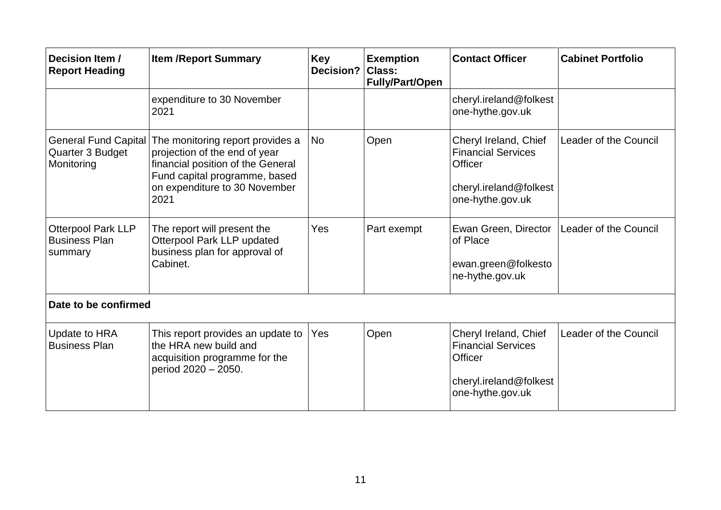| Decision Item /<br><b>Report Heading</b>                      | <b>Item /Report Summary</b>                                                                                                                                                      | <b>Key</b><br>Decision? | <b>Exemption</b><br><b>Class:</b><br><b>Fully/Part/Open</b> | <b>Contact Officer</b>                                                                                             | <b>Cabinet Portfolio</b> |  |
|---------------------------------------------------------------|----------------------------------------------------------------------------------------------------------------------------------------------------------------------------------|-------------------------|-------------------------------------------------------------|--------------------------------------------------------------------------------------------------------------------|--------------------------|--|
|                                                               | expenditure to 30 November<br>2021                                                                                                                                               |                         |                                                             | cheryl.ireland@folkest<br>one-hythe.gov.uk                                                                         |                          |  |
| <b>General Fund Capital</b><br>Quarter 3 Budget<br>Monitoring | The monitoring report provides a<br>projection of the end of year<br>financial position of the General<br>Fund capital programme, based<br>on expenditure to 30 November<br>2021 | <b>No</b>               | Open                                                        | Cheryl Ireland, Chief<br><b>Financial Services</b><br>Officer<br>cheryl.ireland@folkest<br>one-hythe.gov.uk        | Leader of the Council    |  |
| <b>Otterpool Park LLP</b><br><b>Business Plan</b><br>summary  | The report will present the<br>Otterpool Park LLP updated<br>business plan for approval of<br>Cabinet.                                                                           | Yes                     | Part exempt                                                 | Ewan Green, Director<br>of Place<br>ewan.green@folkesto<br>ne-hythe.gov.uk                                         | Leader of the Council    |  |
| Date to be confirmed                                          |                                                                                                                                                                                  |                         |                                                             |                                                                                                                    |                          |  |
| Update to HRA<br><b>Business Plan</b>                         | This report provides an update to<br>the HRA new build and<br>acquisition programme for the<br>period 2020 - 2050.                                                               | Yes                     | Open                                                        | Cheryl Ireland, Chief<br><b>Financial Services</b><br><b>Officer</b><br>cheryl.ireland@folkest<br>one-hythe.gov.uk | Leader of the Council    |  |